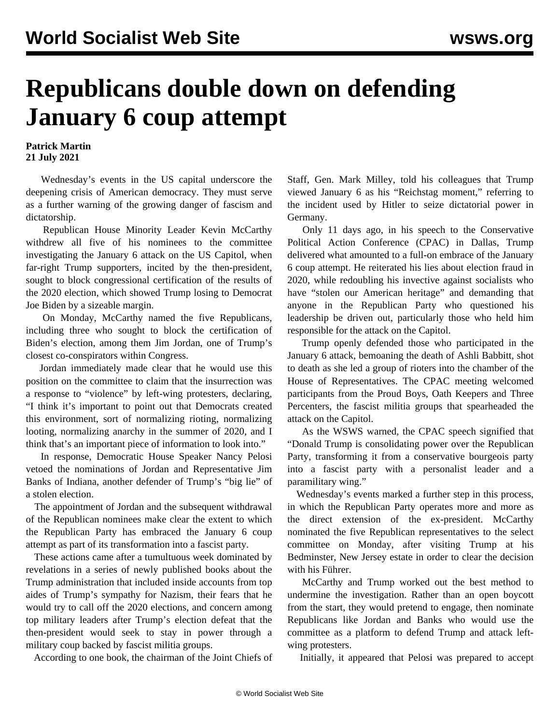## **Republicans double down on defending January 6 coup attempt**

**Patrick Martin 21 July 2021**

 Wednesday's events in the US capital underscore the deepening crisis of American democracy. They must serve as a further warning of the growing danger of fascism and dictatorship.

 Republican House Minority Leader Kevin McCarthy withdrew all five of his nominees to the committee investigating the January 6 attack on the US Capitol, when far-right Trump supporters, incited by the then-president, sought to block congressional certification of the results of the 2020 election, which showed Trump losing to Democrat Joe Biden by a sizeable margin.

 On Monday, McCarthy named the five Republicans, including three who sought to block the certification of Biden's election, among them Jim Jordan, one of Trump's closest co-conspirators within Congress.

 Jordan immediately made clear that he would use this position on the committee to claim that the insurrection was a response to "violence" by left-wing protesters, declaring, "I think it's important to point out that Democrats created this environment, sort of normalizing rioting, normalizing looting, normalizing anarchy in the summer of 2020, and I think that's an important piece of information to look into."

 In response, Democratic House Speaker Nancy Pelosi vetoed the nominations of Jordan and Representative Jim Banks of Indiana, another defender of Trump's "big lie" of a stolen election.

 The appointment of Jordan and the subsequent withdrawal of the Republican nominees make clear the extent to which the Republican Party has embraced the January 6 coup attempt as part of its transformation into a fascist party.

 These actions came after a tumultuous week dominated by revelations in a series of newly published books about the Trump administration that included inside accounts from top aides of Trump's sympathy for Nazism, their fears that he would try to call off the 2020 elections, and concern among top military leaders after Trump's election defeat that the then-president would seek to stay in power through a military coup backed by fascist militia groups.

According to one book, the chairman of the Joint Chiefs of

Staff, Gen. Mark Milley, told his colleagues that Trump viewed January 6 as his "Reichstag moment," referring to the incident used by Hitler to seize dictatorial power in Germany.

 Only 11 days ago, in his speech to the Conservative Political Action Conference (CPAC) in Dallas, Trump delivered what amounted to a full-on embrace of the January 6 coup attempt. He reiterated his lies about election fraud in 2020, while redoubling his invective against socialists who have "stolen our American heritage" and demanding that anyone in the Republican Party who questioned his leadership be driven out, particularly those who held him responsible for the attack on the Capitol.

 Trump openly defended those who participated in the January 6 attack, bemoaning the death of Ashli Babbitt, shot to death as she led a group of rioters into the chamber of the House of Representatives. The CPAC meeting welcomed participants from the Proud Boys, Oath Keepers and Three Percenters, the fascist militia groups that spearheaded the attack on the Capitol.

 As the WSWS [warned,](/en/articles/2021/07/13/pers-j13.html) the CPAC speech signified that "Donald Trump is consolidating power over the Republican Party, transforming it from a conservative bourgeois party into a fascist party with a personalist leader and a paramilitary wing."

 Wednesday's events marked a further step in this process, in which the Republican Party operates more and more as the direct extension of the ex-president. McCarthy nominated the five Republican representatives to the select committee on Monday, after visiting Trump at his Bedminster, New Jersey estate in order to clear the decision with his Führer.

 McCarthy and Trump worked out the best method to undermine the investigation. Rather than an open boycott from the start, they would pretend to engage, then nominate Republicans like Jordan and Banks who would use the committee as a platform to defend Trump and attack leftwing protesters.

Initially, it appeared that Pelosi was prepared to accept